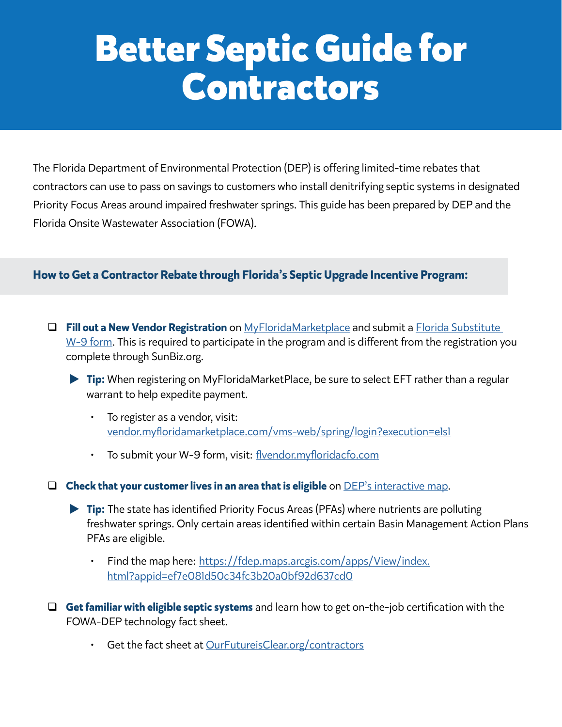## **Better Septic Guide for Contractors**

The Florida Department of Environmental Protection (DEP) is offering limited-time rebates that contractors can use to pass on savings to customers who install denitrifying septic systems in designated Priority Focus Areas around impaired freshwater springs. This guide has been prepared by DEP and the Florida Onsite Wastewater Association (FOWA).

## **How to Get a Contractor Rebate through Florida's Septic Upgrade Incentive Program:**

 **Fill out a New Vendor Registration** on [MyFloridaMarketplace](https://vendor.myfloridamarketplace.com/vms-web/spring/login?execution=e1s1) and submit a [Florida Substitute](https://flvendor.myfloridacfo.com/)  [W-9 form](https://flvendor.myfloridacfo.com/). This is required to participate in the program and is different from the registration you complete through SunBiz.org.

▶ Tip: When registering on MyFloridaMarketPlace, be sure to select EFT rather than a regular warrant to help expedite payment.

- To register as a vendor, visit: [vendor.myfloridamarketplace.com/vms-web/spring/login?execution=e1s1](https://vendor.myfloridamarketplace.com/vms-web/spring/login?execution=e1s1)
- To submit your W-9 form, visit: [flvendor.myfloridacfo.com](http://flvendor.myfloridacfo.com)

**Check that your customer lives in an area that is eligible** on [DEP's interactive map](https://fdep.maps.arcgis.com/apps/View/index.html?appid=ef7e081d50c34fc3b20a0bf92d637cd0).

- **Tip:** The state has identified Priority Focus Areas (PFAs) where nutrients are polluting freshwater springs. Only certain areas identified within certain Basin Management Action Plans PFAs are eligible.
	- Find the map here: [https://fdep.maps.arcgis.com/apps/View/index.](https://fdep.maps.arcgis.com/apps/View/index.html?appid=ef7e081d50c34fc3b20a0bf92d637cd0) [html?appid=ef7e081d50c34fc3b20a0bf92d637cd0](https://fdep.maps.arcgis.com/apps/View/index.html?appid=ef7e081d50c34fc3b20a0bf92d637cd0)
- **Get familiar with eligible septic systems** and learn how to get on-the-job certification with the FOWA-DEP technology fact sheet.
	- Get the fact sheet at [OurFutureisClear.org/contractors](http://OurFutureisClear.org/contractors)